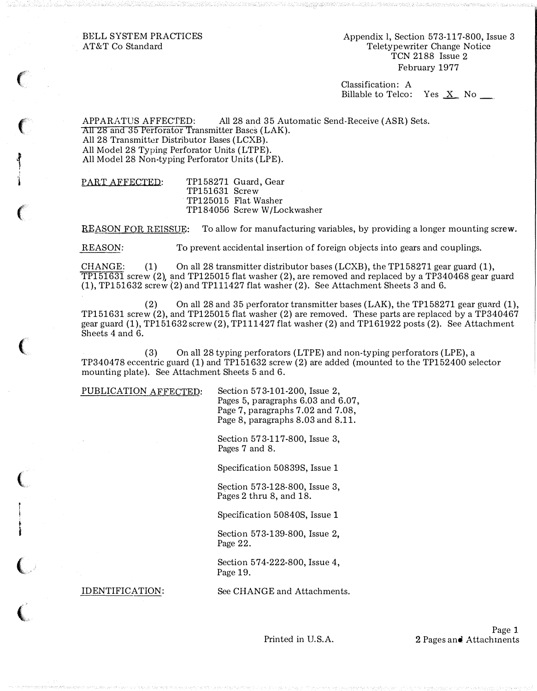BELL SYSTEM PRACTICES AT&T Co Standard

Appendix l, Section 573-117-800, Issue 3 Teletypewriter Change Notice TCN 2188 Issue 2 February 1977

Classification: A Billable to Telco: Yes  $X$  No \_\_\_\_

APPARATUS AFFECTED: All 28 and 35 Automatic Send-Receive (ASR) Sets. All 28 and 35 Perforator Transmitter Bases (LAK). All 28 Transmitter Distributor Bases (LCXB). All Model 28 Typing Perforator Units (LTPE). All Model 28 Non-typing Perforator Units (LPE).

PART AFFECTED: TP158271 Guard, Gear

 $\big($ 

 $\left(\begin{smallmatrix} 1 & 1 \ 1 & 1 \end{smallmatrix}\right)$ 

 $\ddot{\mathbf{f}}$ ;'

 $\epsilon$ 

 $\big($ 

(

 $\big($ 

 $\big($ 

TP151631 Screw TP125015 Flat Washer TP184056 Screw W/Lockwasher

REASON FOR REISSUE: To allow for manufacturing variables, by providing a longer mounting screw.

REASON: To prevent accidental insertion of foreign objects into gears and couplings.

CHANGE: (1) On all 28 transmitter distributor bases (LCXB), the TP158271 gear guard (1),  $TT151631$  screw (2), and TP125015 flat washer (2), are removed and replaced by a TP340468 gear guard (1), TP151632 screw (2) and TP111427 flat washer (2). See Attachment Sheets 3 and 6.

(2) On all 28 and 35 perforator transmitter bases (LAK), the TP158271 gear guard (1), TP151631 screw (2), and TP125015 flat washer (2) are removed. These parts are replaced by a TP340467 gear guard (1), TP151632 screw (2), TP111427 flat washer (2) and TP161922 posts (2). See Attachment Sheets 4 and 6.

(3) On all 28 typing perforators (LTPE) and non-typing perforators (LPE), a TP340478 eccentric guard (1) and TP151632 screw (2) are added (mounted to the TP152400 selector mounting plate). See Attachment Sheets 5 and 6.

PUBLICATION AFFECTED: Section 573-101-200, Issue 2,

Pages 5, paragraphs 6.03 and 6.07, Page 7, paragraphs 7.02 and 7.08, Page 8, paragraphs 8.03 and 8.11.

Section 573-117-800, Issue 3, Pages 7 and 8.

Specification 50839S, Issue 1

Section 573-128-800, Issue 3, Pages 2 thru 8, and 18.

Specification 50840S, Issue 1

Section 573-139-800, Issue 2, Page 22.

Section 574-222-800, Issue 4, Page 19.

IDENTIFICATION:

See CHANGE and Attachments.

Printed in U.S.A.

Page 1 2 Pages and Attachments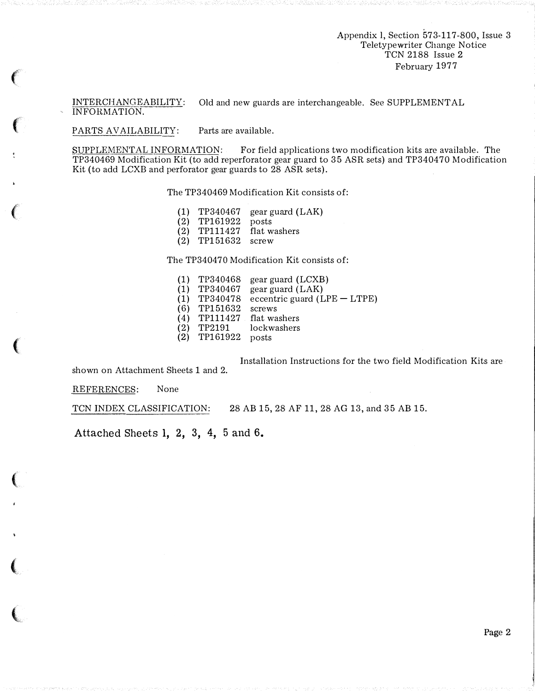INFORMATION.

INTERCHANGEABILITY: Old and new guards are interchangeable. See SUPPLEMENTAL

PARTS AVAILABILITY: Parts are available.

SlJPPLEMENTAL INFORMATION: For field applications two modification kits are available. The TP340469 Modification Kit (to add reperforator gear guard to 35 ASR sets) and TP340470 Modification Kit (to add LCXB and perforator gear guards to 28 ASR sets).

The TP340469 Modification Kit consists of:

- (1) TP340467 gear guard (LAK)
- 
- (2) TP161922 posts<br>(2) TP111427 flat washers  $(2)$  TP111427
- (2) TP151632 screw

The TP340470 Modification Kit consists of:

- (1) TP340468 gear guard (LCXB)
- $(1)$  TP340467 gear guard (LAK)
- (1) TP340478 eccentric guard  $(LPE-LTPE)$
- (6) TP151632 screws
- ( 4) TP111427 flat washers
- (2) TP2191 lockwashers
- (2) TP161922 posts

Installation Instructions for the two field Modification Kits are

shown on Attachment Sheets 1 and 2.

REFERENCES: None

**CONTRACTOR** 

TCN INDEX CLASSIFICATION: 28 AB 15, 28 AF 11, 28 AG 13, and 35 AB 15.

Attached Sheets 1, 2, 3, 4, 5 and 6.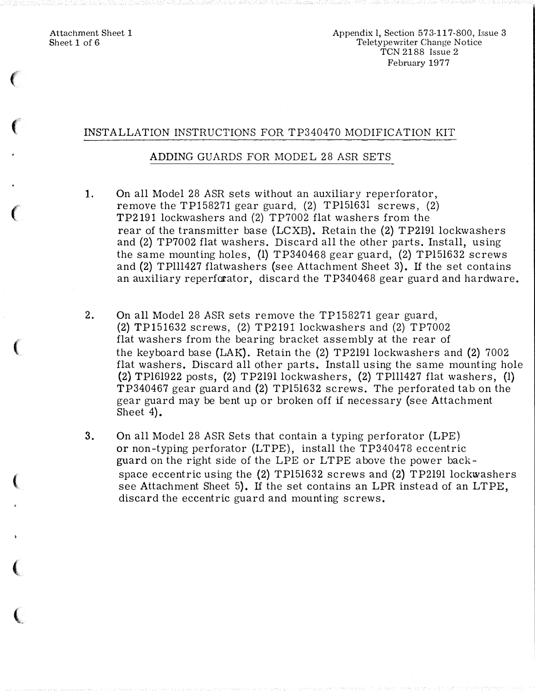Attachment Sheet 1 Sheet 1 of 6

 $\left($ 

 $\left($ 

 $\left($ 

 $\left($ 

 $\left($ 

 $\left($ 

 $\left($ 

Appendix l, Section 573-117-800, Issue 3 Teletypewriter Change Notice TCN 2188 Issue 2 February 1977

## INSTALLATION INSTRUCTIONS FOR TP340470 MODIFICATION KIT

## ADDING GUARDS FOR MODEL 28 ASR SETS

- 1. On all Model 28 ASR sets without an auxiliary reperforator, remove the TP158271 gear guard, (2) TP15l631 screws, (2) TP2191 lockwashers and (2) TP7002 flat washers from the rear of the transmitter base (LCXB). Retain the (2) TP219l lockwashers and (2) TP7002 flat washers. Discard all the other parts. Install, using the same mounting holes, (1) TP340468 gear guard, (2) TP151632 screws and (2) TPlll427 flatwashers (see Attachment Sheet 3). If the set contains an auxiliary reperfarator, discard the TP340468 gear guard and hardware.
- 2. On all Model 28 ASR sets remove the TP158271 gear guard, (2) TP151632 screws, (2) TP2191 lockwashers and (2) TP7002 flat washers from the bearing bracket assembly at the rear of the keyboard base (LAK). Retain the (2) TP2191 lockwashers and (2) 7002 flat washers. Discard all other parts. Install using the same mounting hole {2) TP161922 posts, (2) TP2191 lockwashers, (2) TPlll427 flat washers, (l) TP340467 gear guard and (2) TP151632 screws. The perforated tab on the gear guard may be bent up or broken off if necessary (see Attachment Sheet 4).
- 3. On all Model 28 ASR Sets that contain a typing perforator (LPE) or non-typing perforator (LTPE), install the TP340478 eccentric guard on the right side of the LPE or LTPE above the power backspace eccentric using the (2) TP151632 screws and (2) TP219l lockwashers see Attachment Sheet 5). If the set contains an LPR instead of an LTPE, discard the eccentric guard and mounting screws.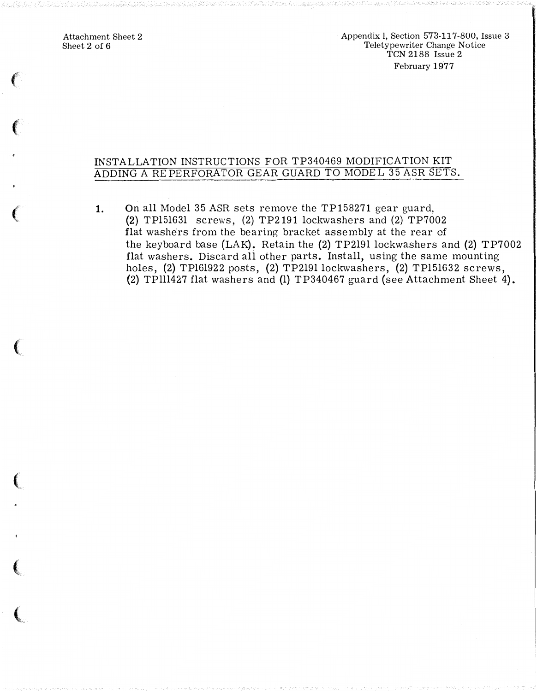Attachment Sheet 2 Sheet 2 of 6

<sup>l</sup>

Appendix l, Section 573-117-800, Issue 3 Teletypewriter Change Notice TCN 2188 Issue 2 February 1977

## INSTALLATION INSTRUCTIONS FOR TP340469 MODIFICATION KIT ADDING A REPERFORATOR GEAR GUARD TO MODEL 35 ASR SETS.

1. On all Model 35 ASR sets remove the TP158271 gear guard, (2) TP15163l screws, (2) TP2191 lockwashers and (2) TP'7002 flat washers from the bearing bracket assembly at the rear of the keyboard base (LAK). Retain the (2) TP219l lockwashers and (2) TP7002 flat washers. Discard all other parts. Install, using the same mounting holes, (2) TP161922 posts, (2) TP219l lockwashers, (2) TP151632 screws, (2) TPlll427 flat washers and (1) TP340467 guard {see Attachment Sheet 4).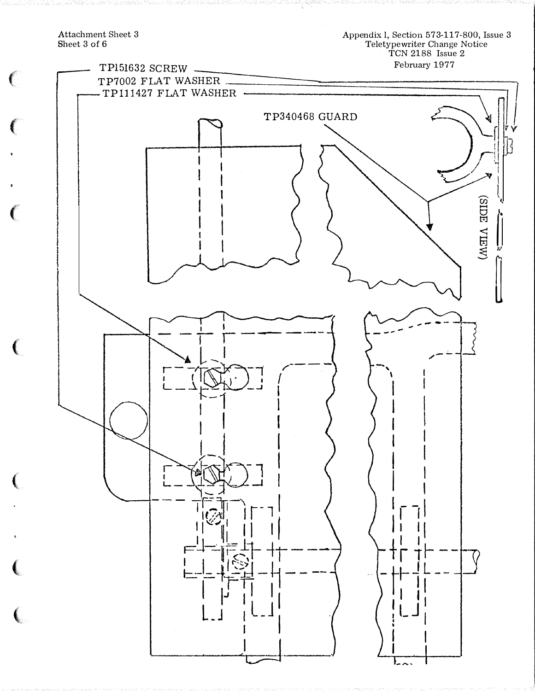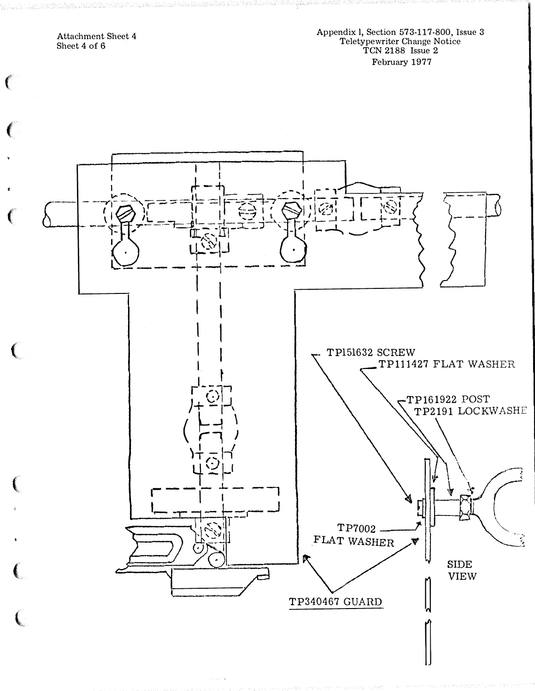**Attachment Sheet 4** Sheet 4 of 6

ARA MAGALARAN ANG ANG ANG MANA

kaa

Appendix I, Section 573-117-800, Issue 3<br>Teletypewriter Change Notice<br>TCN 2188 Issue 2 February 1977

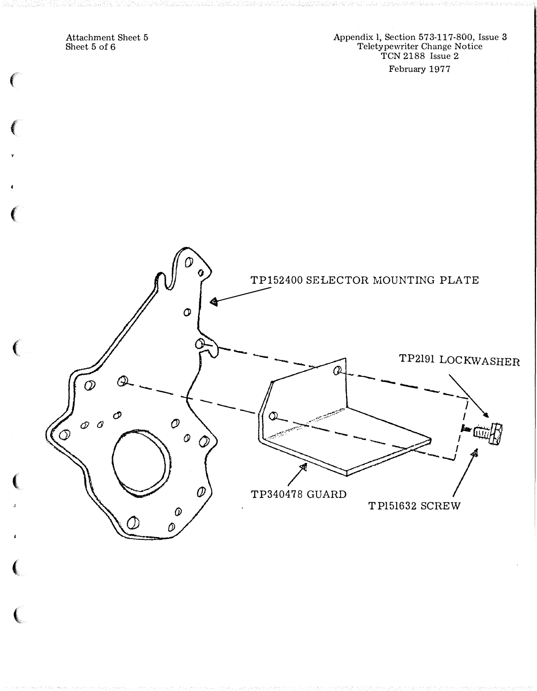Attachment Sheet 5<br>Sheet 5 of 6

 $\begin{matrix} \begin{matrix} \begin{matrix} 0 \\ 0 \\ 0 \\ 0 \\ 0 \end{matrix} \end{matrix} \end{matrix} \end{matrix}$ 

 $\big($ 

 $\left($ 

Appendix 1, Section 573-117-800, Issue 3<br>Teletypewriter Change Notice<br>TCN 2188 Issue 2 February 1977